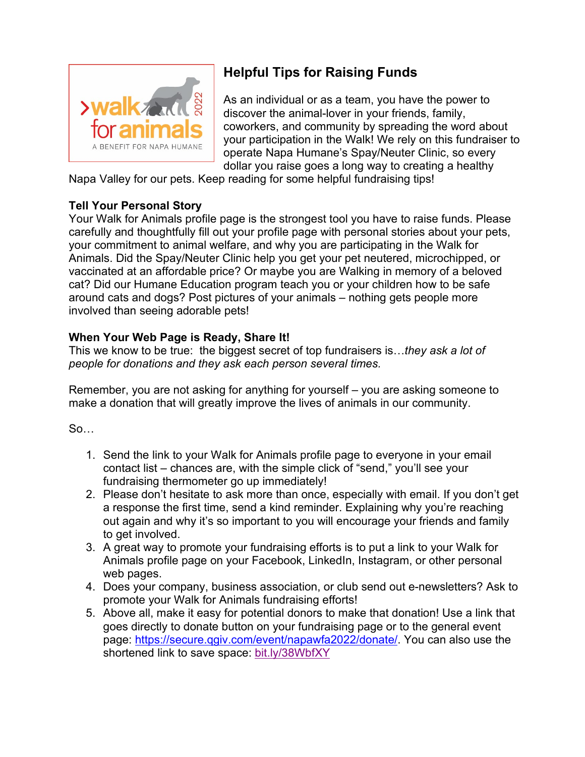

# **Helpful Tips for Raising Funds**

As an individual or as a team, you have the power to discover the animal-lover in your friends, family, coworkers, and community by spreading the word about your participation in the Walk! We rely on this fundraiser to operate Napa Humane's Spay/Neuter Clinic, so every dollar you raise goes a long way to creating a healthy

Napa Valley for our pets. Keep reading for some helpful fundraising tips!

### **Tell Your Personal Story**

Your Walk for Animals profile page is the strongest tool you have to raise funds. Please carefully and thoughtfully fill out your profile page with personal stories about your pets, your commitment to animal welfare, and why you are participating in the Walk for Animals. Did the Spay/Neuter Clinic help you get your pet neutered, microchipped, or vaccinated at an affordable price? Or maybe you are Walking in memory of a beloved cat? Did our Humane Education program teach you or your children how to be safe around cats and dogs? Post pictures of your animals – nothing gets people more involved than seeing adorable pets!

### **When Your Web Page is Ready, Share It!**

This we know to be true: the biggest secret of top fundraisers is…*they ask a lot of people for donations and they ask each person several times.* 

Remember, you are not asking for anything for yourself – you are asking someone to make a donation that will greatly improve the lives of animals in our community.

So…

- 1. Send the link to your Walk for Animals profile page to everyone in your email contact list – chances are, with the simple click of "send," you'll see your fundraising thermometer go up immediately!
- 2. Please don't hesitate to ask more than once, especially with email. If you don't get a response the first time, send a kind reminder. Explaining why you're reaching out again and why it's so important to you will encourage your friends and family to get involved.
- 3. A great way to promote your fundraising efforts is to put a link to your Walk for Animals profile page on your Facebook, LinkedIn, Instagram, or other personal web pages.
- 4. Does your company, business association, or club send out e-newsletters? Ask to promote your Walk for Animals fundraising efforts!
- 5. Above all, make it easy for potential donors to make that donation! Use a link that goes directly to donate button on your fundraising page or to the general event page: [https://secure.qgiv.com/event/napawfa2022/donate/.](https://secure.qgiv.com/event/napawfa2022/donate/) You can also use the shortened link to save space: [bit.ly/38WbfXY](https://bit.ly/38WbfXY)